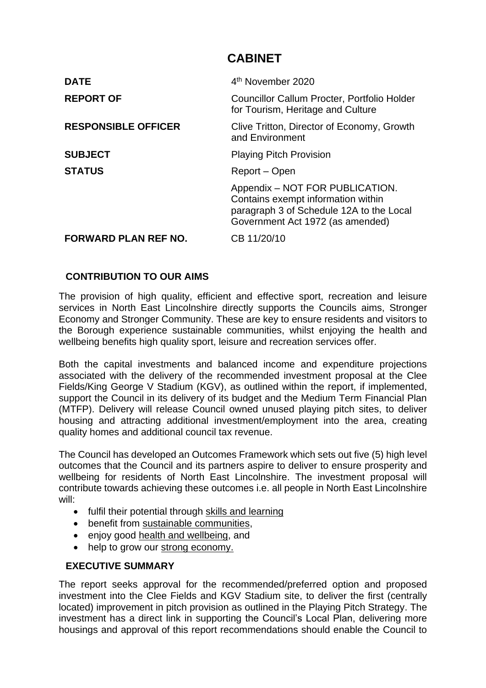# **CABINET**

| <b>DATE</b>                 | 4 <sup>th</sup> November 2020                                                                                                                         |
|-----------------------------|-------------------------------------------------------------------------------------------------------------------------------------------------------|
| <b>REPORT OF</b>            | Councillor Callum Procter, Portfolio Holder<br>for Tourism, Heritage and Culture                                                                      |
| <b>RESPONSIBLE OFFICER</b>  | Clive Tritton, Director of Economy, Growth<br>and Environment                                                                                         |
| <b>SUBJECT</b>              | <b>Playing Pitch Provision</b>                                                                                                                        |
| <b>STATUS</b>               | Report – Open                                                                                                                                         |
|                             | Appendix - NOT FOR PUBLICATION.<br>Contains exempt information within<br>paragraph 3 of Schedule 12A to the Local<br>Government Act 1972 (as amended) |
| <b>FORWARD PLAN REF NO.</b> | CB 11/20/10                                                                                                                                           |

## **CONTRIBUTION TO OUR AIMS**

The provision of high quality, efficient and effective sport, recreation and leisure services in North East Lincolnshire directly supports the Councils aims, Stronger Economy and Stronger Community. These are key to ensure residents and visitors to the Borough experience sustainable communities, whilst enjoying the health and wellbeing benefits high quality sport, leisure and recreation services offer.

Both the capital investments and balanced income and expenditure projections associated with the delivery of the recommended investment proposal at the Clee Fields/King George V Stadium (KGV), as outlined within the report, if implemented, support the Council in its delivery of its budget and the Medium Term Financial Plan (MTFP). Delivery will release Council owned unused playing pitch sites, to deliver housing and attracting additional investment/employment into the area, creating quality homes and additional council tax revenue.

The Council has developed an Outcomes Framework which sets out five (5) high level outcomes that the Council and its partners aspire to deliver to ensure prosperity and wellbeing for residents of North East Lincolnshire. The investment proposal will contribute towards achieving these outcomes i.e. all people in North East Lincolnshire will:

- fulfil their potential through skills and learning
- benefit from sustainable communities,
- enjoy good health and wellbeing, and
- help to grow our strong economy.

#### **EXECUTIVE SUMMARY**

The report seeks approval for the recommended/preferred option and proposed investment into the Clee Fields and KGV Stadium site, to deliver the first (centrally located) improvement in pitch provision as outlined in the Playing Pitch Strategy. The investment has a direct link in supporting the Council's Local Plan, delivering more housings and approval of this report recommendations should enable the Council to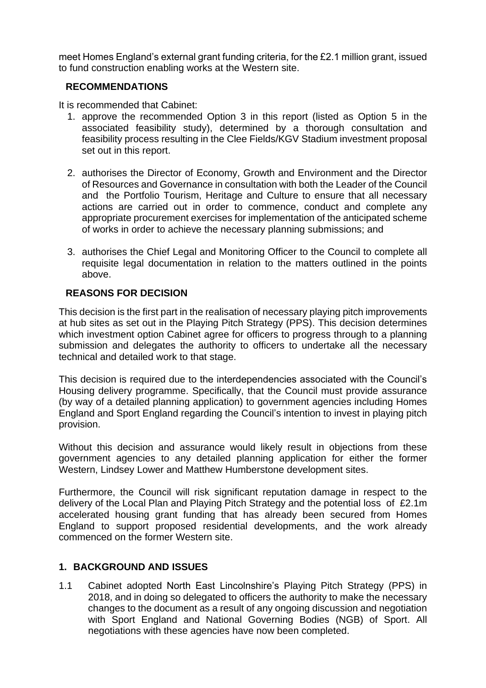meet Homes England's external grant funding criteria, for the £2.1 million grant, issued to fund construction enabling works at the Western site.

## **RECOMMENDATIONS**

It is recommended that Cabinet:

- 1. approve the recommended Option 3 in this report (listed as Option 5 in the associated feasibility study), determined by a thorough consultation and feasibility process resulting in the Clee Fields/KGV Stadium investment proposal set out in this report.
- 2. authorises the Director of Economy, Growth and Environment and the Director of Resources and Governance in consultation with both the Leader of the Council and the Portfolio Tourism, Heritage and Culture to ensure that all necessary actions are carried out in order to commence, conduct and complete any appropriate procurement exercises for implementation of the anticipated scheme of works in order to achieve the necessary planning submissions; and
- 3. authorises the Chief Legal and Monitoring Officer to the Council to complete all requisite legal documentation in relation to the matters outlined in the points above.

## **REASONS FOR DECISION**

This decision is the first part in the realisation of necessary playing pitch improvements at hub sites as set out in the Playing Pitch Strategy (PPS). This decision determines which investment option Cabinet agree for officers to progress through to a planning submission and delegates the authority to officers to undertake all the necessary technical and detailed work to that stage.

This decision is required due to the interdependencies associated with the Council's Housing delivery programme. Specifically, that the Council must provide assurance (by way of a detailed planning application) to government agencies including Homes England and Sport England regarding the Council's intention to invest in playing pitch provision.

Without this decision and assurance would likely result in objections from these government agencies to any detailed planning application for either the former Western, Lindsey Lower and Matthew Humberstone development sites.

Furthermore, the Council will risk significant reputation damage in respect to the delivery of the Local Plan and Playing Pitch Strategy and the potential loss of £2.1m accelerated housing grant funding that has already been secured from Homes England to support proposed residential developments, and the work already commenced on the former Western site.

# **1. BACKGROUND AND ISSUES**

1.1 Cabinet adopted North East Lincolnshire's Playing Pitch Strategy (PPS) in 2018, and in doing so delegated to officers the authority to make the necessary changes to the document as a result of any ongoing discussion and negotiation with Sport England and National Governing Bodies (NGB) of Sport. All negotiations with these agencies have now been completed.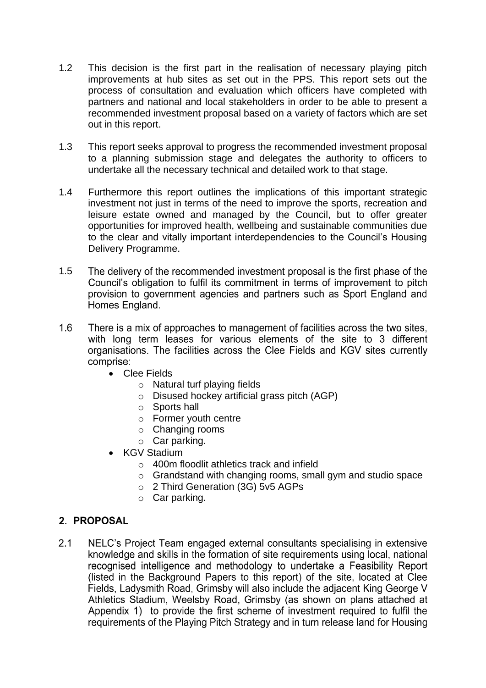- 1.2 This decision is the first part in the realisation of necessary playing pitch improvements at hub sites as set out in the PPS. This report sets out the process of consultation and evaluation which officers have completed with partners and national and local stakeholders in order to be able to present a recommended investment proposal based on a variety of factors which are set out in this report.
- 1.3 This report seeks approval to progress the recommended investment proposal to a planning submission stage and delegates the authority to officers to undertake all the necessary technical and detailed work to that stage.
- 1.4 Furthermore this report outlines the implications of this important strategic investment not just in terms of the need to improve the sports, recreation and leisure estate owned and managed by the Council, but to offer greater opportunities for improved health, wellbeing and sustainable communities due to the clear and vitally important interdependencies to the Council's Housing Delivery Programme.
- 1.5 The delivery of the recommended investment proposal is the first phase of the Council's obligation to fulfil its commitment in terms of improvement to pitch provision to government agencies and partners such as Sport England and Homes England.
- There is a mix of approaches to management of facilities across the two sites.  $16$ with long term leases for various elements of the site to 3 different organisations. The facilities across the Clee Fields and KGV sites currently comprise:
	- Clee Fields
		- o Natural turf playing fields
		- o Disused hockey artificial grass pitch (AGP)
		- o Sports hall
		- o Former youth centre
		- o Changing rooms
		- o Car parking.
	- KGV Stadium
		- o 400m floodlit athletics track and infield
		- o Grandstand with changing rooms, small gym and studio space
		- o 2 Third Generation (3G) 5v5 AGPs
		- o Car parking.

# 2. PROPOSAL

 $2.1$ NELC's Project Team engaged external consultants specialising in extensive knowledge and skills in the formation of site requirements using local, national recognised intelligence and methodology to undertake a Feasibility Report (listed in the Background Papers to this report) of the site, located at Clee Fields, Ladysmith Road, Grimsby will also include the adjacent King George V Athletics Stadium, Weelsby Road, Grimsby (as shown on plans attached at Appendix 1) to provide the first scheme of investment required to fulfil the requirements of the Playing Pitch Strategy and in turn release land for Housing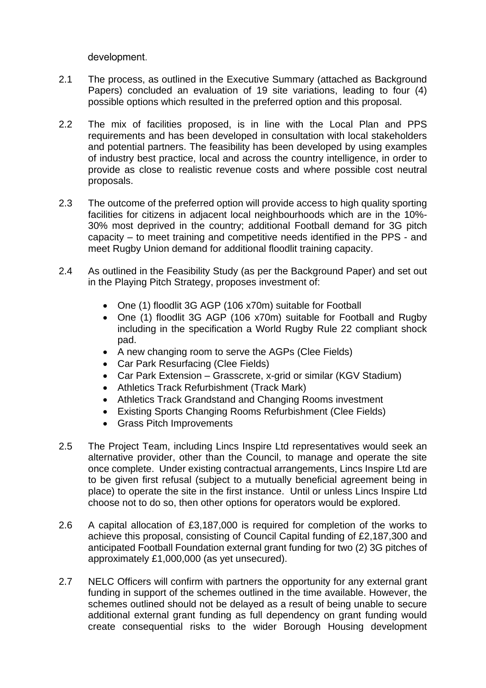development.

- 2.1 The process, as outlined in the Executive Summary (attached as Background Papers) concluded an evaluation of 19 site variations, leading to four (4) possible options which resulted in the preferred option and this proposal.
- 2.2 The mix of facilities proposed, is in line with the Local Plan and PPS requirements and has been developed in consultation with local stakeholders and potential partners. The feasibility has been developed by using examples of industry best practice, local and across the country intelligence, in order to provide as close to realistic revenue costs and where possible cost neutral proposals.
- 2.3 The outcome of the preferred option will provide access to high quality sporting facilities for citizens in adjacent local neighbourhoods which are in the 10%- 30% most deprived in the country; additional Football demand for 3G pitch capacity – to meet training and competitive needs identified in the PPS - and meet Rugby Union demand for additional floodlit training capacity.
- 2.4 As outlined in the Feasibility Study (as per the Background Paper) and set out in the Playing Pitch Strategy, proposes investment of:
	- One (1) floodlit 3G AGP (106 x70m) suitable for Football
	- One (1) floodlit 3G AGP (106 x70m) suitable for Football and Rugby including in the specification a World Rugby Rule 22 compliant shock pad.
	- A new changing room to serve the AGPs (Clee Fields)
	- Car Park Resurfacing (Clee Fields)
	- Car Park Extension Grasscrete, x-grid or similar (KGV Stadium)
	- Athletics Track Refurbishment (Track Mark)
	- Athletics Track Grandstand and Changing Rooms investment
	- Existing Sports Changing Rooms Refurbishment (Clee Fields)
	- Grass Pitch Improvements
- 2.5 The Project Team, including Lincs Inspire Ltd representatives would seek an alternative provider, other than the Council, to manage and operate the site once complete. Under existing contractual arrangements, Lincs Inspire Ltd are to be given first refusal (subject to a mutually beneficial agreement being in place) to operate the site in the first instance. Until or unless Lincs Inspire Ltd choose not to do so, then other options for operators would be explored.
- 2.6 A capital allocation of £3,187,000 is required for completion of the works to achieve this proposal, consisting of Council Capital funding of £2,187,300 and anticipated Football Foundation external grant funding for two (2) 3G pitches of approximately £1,000,000 (as yet unsecured).
- 2.7 NELC Officers will confirm with partners the opportunity for any external grant funding in support of the schemes outlined in the time available. However, the schemes outlined should not be delayed as a result of being unable to secure additional external grant funding as full dependency on grant funding would create consequential risks to the wider Borough Housing development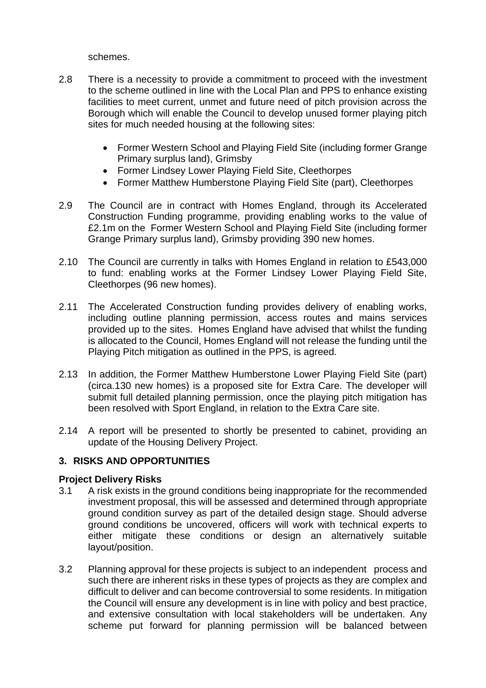schemes.

- 2.8 There is a necessity to provide a commitment to proceed with the investment to the scheme outlined in line with the Local Plan and PPS to enhance existing facilities to meet current, unmet and future need of pitch provision across the Borough which will enable the Council to develop unused former playing pitch sites for much needed housing at the following sites:
	- Former Western School and Playing Field Site (including former Grange Primary surplus land), Grimsby
	- Former Lindsey Lower Playing Field Site, Cleethorpes
	- Former Matthew Humberstone Playing Field Site (part), Cleethorpes
- 2.9 The Council are in contract with Homes England, through its Accelerated Construction Funding programme, providing enabling works to the value of £2.1m on the Former Western School and Playing Field Site (including former Grange Primary surplus land), Grimsby providing 390 new homes.
- 2.10 The Council are currently in talks with Homes England in relation to £543,000 to fund: enabling works at the Former Lindsey Lower Playing Field Site, Cleethorpes (96 new homes).
- 2.11 The Accelerated Construction funding provides delivery of enabling works, including outline planning permission, access routes and mains services provided up to the sites. Homes England have advised that whilst the funding is allocated to the Council, Homes England will not release the funding until the Playing Pitch mitigation as outlined in the PPS, is agreed.
- 2.13 In addition, the Former Matthew Humberstone Lower Playing Field Site (part) (circa.130 new homes) is a proposed site for Extra Care. The developer will submit full detailed planning permission, once the playing pitch mitigation has been resolved with Sport England, in relation to the Extra Care site.
- 2.14 A report will be presented to shortly be presented to cabinet, providing an update of the Housing Delivery Project.

#### **3. RISKS AND OPPORTUNITIES**

#### **Project Delivery Risks**

- 3.1 A risk exists in the ground conditions being inappropriate for the recommended investment proposal, this will be assessed and determined through appropriate ground condition survey as part of the detailed design stage. Should adverse ground conditions be uncovered, officers will work with technical experts to either mitigate these conditions or design an alternatively suitable layout/position.
- 3.2 Planning approval for these projects is subject to an independent process and such there are inherent risks in these types of projects as they are complex and difficult to deliver and can become controversial to some residents. In mitigation the Council will ensure any development is in line with policy and best practice, and extensive consultation with local stakeholders will be undertaken. Any scheme put forward for planning permission will be balanced between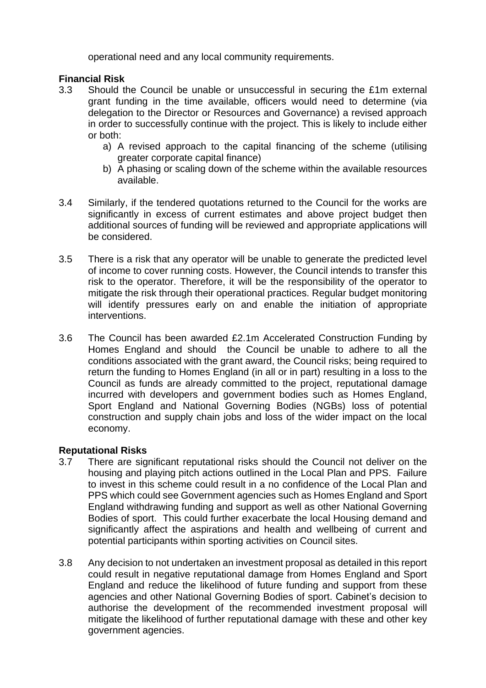operational need and any local community requirements.

## **Financial Risk**

- 3.3 Should the Council be unable or unsuccessful in securing the £1m external grant funding in the time available, officers would need to determine (via delegation to the Director or Resources and Governance) a revised approach in order to successfully continue with the project. This is likely to include either or both:
	- a) A revised approach to the capital financing of the scheme (utilising greater corporate capital finance)
	- b) A phasing or scaling down of the scheme within the available resources available.
- 3.4 Similarly, if the tendered quotations returned to the Council for the works are significantly in excess of current estimates and above project budget then additional sources of funding will be reviewed and appropriate applications will be considered.
- 3.5 There is a risk that any operator will be unable to generate the predicted level of income to cover running costs. However, the Council intends to transfer this risk to the operator. Therefore, it will be the responsibility of the operator to mitigate the risk through their operational practices. Regular budget monitoring will identify pressures early on and enable the initiation of appropriate interventions.
- 3.6 The Council has been awarded £2.1m Accelerated Construction Funding by Homes England and should the Council be unable to adhere to all the conditions associated with the grant award, the Council risks; being required to return the funding to Homes England (in all or in part) resulting in a loss to the Council as funds are already committed to the project, reputational damage incurred with developers and government bodies such as Homes England, Sport England and National Governing Bodies (NGBs) loss of potential construction and supply chain jobs and loss of the wider impact on the local economy.

# **Reputational Risks**

- 3.7 There are significant reputational risks should the Council not deliver on the housing and playing pitch actions outlined in the Local Plan and PPS. Failure to invest in this scheme could result in a no confidence of the Local Plan and PPS which could see Government agencies such as Homes England and Sport England withdrawing funding and support as well as other National Governing Bodies of sport. This could further exacerbate the local Housing demand and significantly affect the aspirations and health and wellbeing of current and potential participants within sporting activities on Council sites.
- 3.8 Any decision to not undertaken an investment proposal as detailed in this report could result in negative reputational damage from Homes England and Sport England and reduce the likelihood of future funding and support from these agencies and other National Governing Bodies of sport. Cabinet's decision to authorise the development of the recommended investment proposal will mitigate the likelihood of further reputational damage with these and other key government agencies.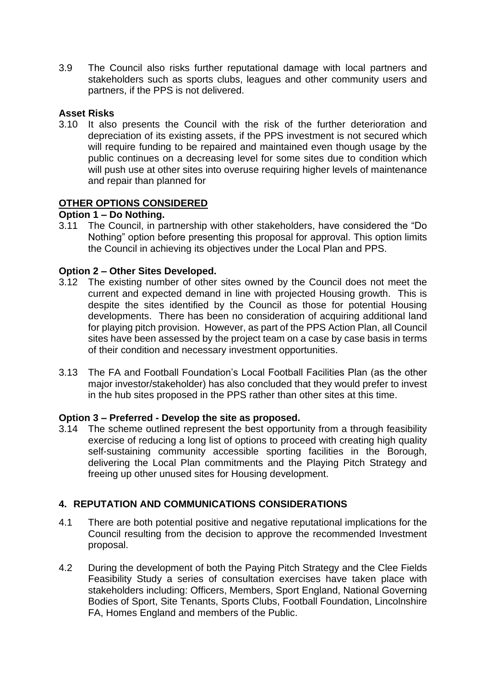3.9 The Council also risks further reputational damage with local partners and stakeholders such as sports clubs, leagues and other community users and partners, if the PPS is not delivered.

## **Asset Risks**

3.10 It also presents the Council with the risk of the further deterioration and depreciation of its existing assets, if the PPS investment is not secured which will require funding to be repaired and maintained even though usage by the public continues on a decreasing level for some sites due to condition which will push use at other sites into overuse requiring higher levels of maintenance and repair than planned for

## **OTHER OPTIONS CONSIDERED**

## **Option 1 – Do Nothing.**

3.11 The Council, in partnership with other stakeholders, have considered the "Do Nothing" option before presenting this proposal for approval. This option limits the Council in achieving its objectives under the Local Plan and PPS.

## **Option 2 – Other Sites Developed.**

- 3.12 The existing number of other sites owned by the Council does not meet the current and expected demand in line with projected Housing growth. This is despite the sites identified by the Council as those for potential Housing developments. There has been no consideration of acquiring additional land for playing pitch provision. However, as part of the PPS Action Plan, all Council sites have been assessed by the project team on a case by case basis in terms of their condition and necessary investment opportunities.
- 3.13 The FA and Football Foundation's Local Football Facilities Plan (as the other major investor/stakeholder) has also concluded that they would prefer to invest in the hub sites proposed in the PPS rather than other sites at this time.

#### **Option 3 – Preferred - Develop the site as proposed.**

3.14 The scheme outlined represent the best opportunity from a through feasibility exercise of reducing a long list of options to proceed with creating high quality self-sustaining community accessible sporting facilities in the Borough, delivering the Local Plan commitments and the Playing Pitch Strategy and freeing up other unused sites for Housing development.

# **4. REPUTATION AND COMMUNICATIONS CONSIDERATIONS**

- 4.1 There are both potential positive and negative reputational implications for the Council resulting from the decision to approve the recommended Investment proposal.
- 4.2 During the development of both the Paying Pitch Strategy and the Clee Fields Feasibility Study a series of consultation exercises have taken place with stakeholders including: Officers, Members, Sport England, National Governing Bodies of Sport, Site Tenants, Sports Clubs, Football Foundation, Lincolnshire FA, Homes England and members of the Public.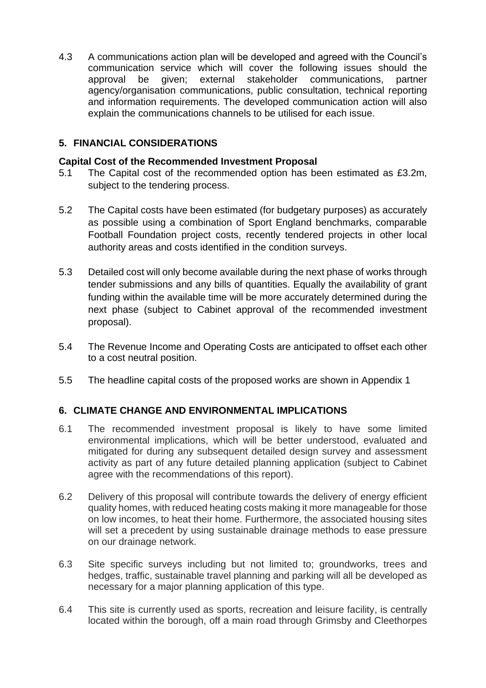4.3 A communications action plan will be developed and agreed with the Council's communication service which will cover the following issues should the approval be given; external stakeholder communications, partner agency/organisation communications, public consultation, technical reporting and information requirements. The developed communication action will also explain the communications channels to be utilised for each issue.

# **5. FINANCIAL CONSIDERATIONS**

## **Capital Cost of the Recommended Investment Proposal**

- 5.1 The Capital cost of the recommended option has been estimated as £3.2m, subject to the tendering process.
- 5.2 The Capital costs have been estimated (for budgetary purposes) as accurately as possible using a combination of Sport England benchmarks, comparable Football Foundation project costs, recently tendered projects in other local authority areas and costs identified in the condition surveys.
- 5.3 Detailed cost will only become available during the next phase of works through tender submissions and any bills of quantities. Equally the availability of grant funding within the available time will be more accurately determined during the next phase (subject to Cabinet approval of the recommended investment proposal).
- 5.4 The Revenue Income and Operating Costs are anticipated to offset each other to a cost neutral position.
- 5.5 The headline capital costs of the proposed works are shown in Appendix 1

# **6. CLIMATE CHANGE AND ENVIRONMENTAL IMPLICATIONS**

- 6.1 The recommended investment proposal is likely to have some limited environmental implications, which will be better understood, evaluated and mitigated for during any subsequent detailed design survey and assessment activity as part of any future detailed planning application (subject to Cabinet agree with the recommendations of this report).
- 6.2 Delivery of this proposal will contribute towards the delivery of energy efficient quality homes, with reduced heating costs making it more manageable for those on low incomes, to heat their home. Furthermore, the associated housing sites will set a precedent by using sustainable drainage methods to ease pressure on our drainage network.
- 6.3 Site specific surveys including but not limited to; groundworks, trees and hedges, traffic, sustainable travel planning and parking will all be developed as necessary for a major planning application of this type.
- 6.4 This site is currently used as sports, recreation and leisure facility, is centrally located within the borough, off a main road through Grimsby and Cleethorpes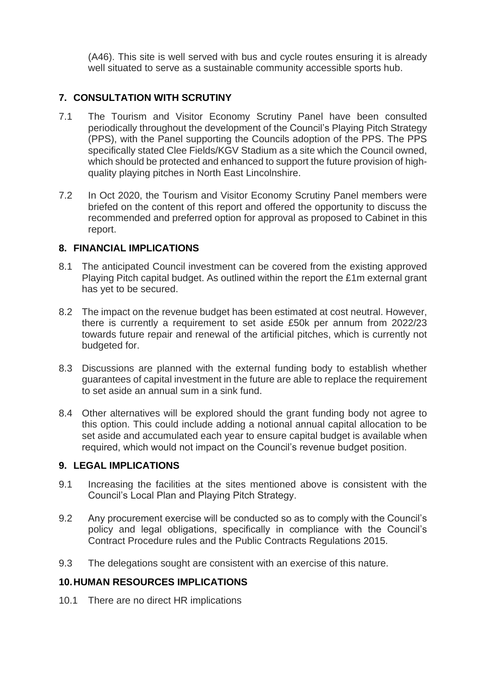(A46). This site is well served with bus and cycle routes ensuring it is already well situated to serve as a sustainable community accessible sports hub.

# **7. CONSULTATION WITH SCRUTINY**

- 7.1 The Tourism and Visitor Economy Scrutiny Panel have been consulted periodically throughout the development of the Council's Playing Pitch Strategy (PPS), with the Panel supporting the Councils adoption of the PPS. The PPS specifically stated Clee Fields/KGV Stadium as a site which the Council owned, which should be protected and enhanced to support the future provision of highquality playing pitches in North East Lincolnshire.
- 7.2 In Oct 2020, the Tourism and Visitor Economy Scrutiny Panel members were briefed on the content of this report and offered the opportunity to discuss the recommended and preferred option for approval as proposed to Cabinet in this report.

## **8. FINANCIAL IMPLICATIONS**

- 8.1 The anticipated Council investment can be covered from the existing approved Playing Pitch capital budget. As outlined within the report the £1m external grant has yet to be secured.
- 8.2 The impact on the revenue budget has been estimated at cost neutral. However, there is currently a requirement to set aside £50k per annum from 2022/23 towards future repair and renewal of the artificial pitches, which is currently not budgeted for.
- 8.3 Discussions are planned with the external funding body to establish whether guarantees of capital investment in the future are able to replace the requirement to set aside an annual sum in a sink fund.
- 8.4 Other alternatives will be explored should the grant funding body not agree to this option. This could include adding a notional annual capital allocation to be set aside and accumulated each year to ensure capital budget is available when required, which would not impact on the Council's revenue budget position.

#### **9. LEGAL IMPLICATIONS**

- 9.1 Increasing the facilities at the sites mentioned above is consistent with the Council's Local Plan and Playing Pitch Strategy.
- 9.2 Any procurement exercise will be conducted so as to comply with the Council's policy and legal obligations, specifically in compliance with the Council's Contract Procedure rules and the Public Contracts Regulations 2015.
- 9.3 The delegations sought are consistent with an exercise of this nature.

#### **10.HUMAN RESOURCES IMPLICATIONS**

10.1 There are no direct HR implications